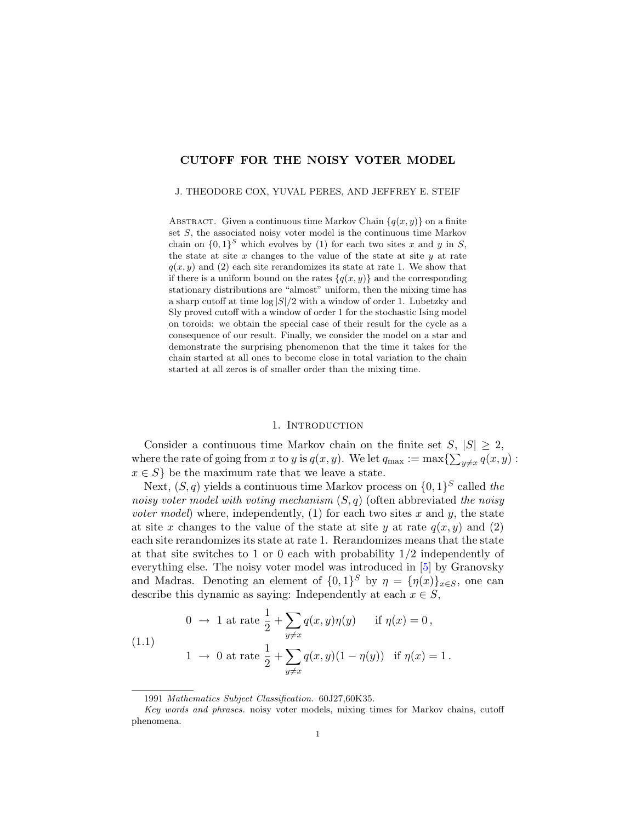# CUTOFF FOR THE NOISY VOTER MODEL

#### J. THEODORE COX, YUVAL PERES, AND JEFFREY E. STEIF

ABSTRACT. Given a continuous time Markov Chain  ${q(x, y)}$  on a finite set S, the associated noisy voter model is the continuous time Markov chain on  $\{0,1\}^S$  which evolves by (1) for each two sites x and y in S, the state at site  $x$  changes to the value of the state at site  $y$  at rate  $q(x, y)$  and (2) each site rerandomizes its state at rate 1. We show that if there is a uniform bound on the rates  $\{q(x, y)\}\$ and the corresponding stationary distributions are "almost" uniform, then the mixing time has a sharp cutoff at time  $\log |S|/2$  with a window of order 1. Lubetzky and Sly proved cutoff with a window of order 1 for the stochastic Ising model on toroids: we obtain the special case of their result for the cycle as a consequence of our result. Finally, we consider the model on a star and demonstrate the surprising phenomenon that the time it takes for the chain started at all ones to become close in total variation to the chain started at all zeros is of smaller order than the mixing time.

### 1. INTRODUCTION

Consider a continuous time Markov chain on the finite set  $S, |S| \geq 2$ , where the rate of going from x to y is  $q(x, y)$ . We let  $q_{\text{max}} := \max\{\sum_{y \neq x} q(x, y) :$  $x \in S$  be the maximum rate that we leave a state.

Next,  $(S, q)$  yields a continuous time Markov process on  $\{0, 1\}^S$  called the noisy voter model with voting mechanism  $(S, q)$  (often abbreviated the noisy *voter model*) where, independently, (1) for each two sites x and y, the state at site x changes to the value of the state at site y at rate  $q(x, y)$  and (2) each site rerandomizes its state at rate 1. Rerandomizes means that the state at that site switches to 1 or 0 each with probability 1/2 independently of everything else. The noisy voter model was introduced in [\[5\]](#page-15-0) by Granovsky and Madras. Denoting an element of  $\{0,1\}^S$  by  $\eta = \{\eta(x)\}_{x \in S}$ , one can describe this dynamic as saying: Independently at each  $x \in S$ ,

<span id="page-0-0"></span>(1.1) 
$$
0 \to 1 \text{ at rate } \frac{1}{2} + \sum_{y \neq x} q(x, y) \eta(y) \quad \text{if } \eta(x) = 0,
$$

$$
1 \to 0 \text{ at rate } \frac{1}{2} + \sum_{y \neq x} q(x, y) (1 - \eta(y)) \quad \text{if } \eta(x) = 1.
$$

<sup>1991</sup> Mathematics Subject Classification. 60J27,60K35.

Key words and phrases. noisy voter models, mixing times for Markov chains, cutoff phenomena.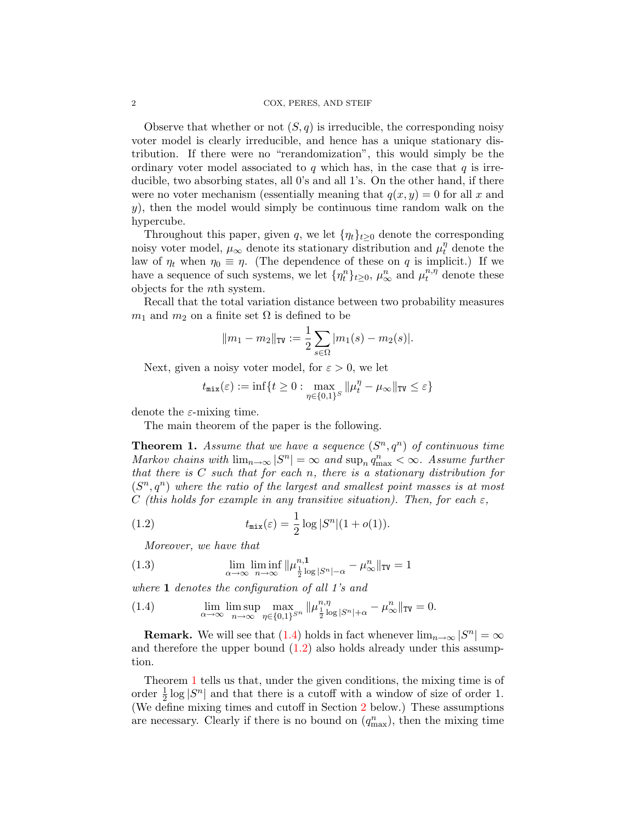Observe that whether or not  $(S, q)$  is irreducible, the corresponding noisy voter model is clearly irreducible, and hence has a unique stationary distribution. If there were no "rerandomization", this would simply be the ordinary voter model associated to q which has, in the case that  $q$  is irreducible, two absorbing states, all 0's and all 1's. On the other hand, if there were no voter mechanism (essentially meaning that  $q(x, y) = 0$  for all x and  $y$ ), then the model would simply be continuous time random walk on the hypercube.

Throughout this paper, given q, we let  $\{\eta_t\}_{t>0}$  denote the corresponding noisy voter model,  $\mu_{\infty}$  denote its stationary distribution and  $\mu_t^{\eta}$  denote the law of  $\eta_t$  when  $\eta_0 \equiv \eta$ . (The dependence of these on q is implicit.) If we have a sequence of such systems, we let  $\{\eta_t^n\}_{t\geq0}$ ,  $\mu_\infty^n$  and  $\mu_t^{n,\eta}$  denote these objects for the nth system.

Recall that the total variation distance between two probability measures  $m_1$  and  $m_2$  on a finite set  $\Omega$  is defined to be

$$
||m_1 - m_2||_{TV} := \frac{1}{2} \sum_{s \in \Omega} |m_1(s) - m_2(s)|.
$$

Next, given a noisy voter model, for  $\varepsilon > 0$ , we let

$$
t_{\texttt{mix}}(\varepsilon) := \inf\{t \geq 0: \max_{\eta \in \{0,1\}^S} \|\mu_t^{\eta} - \mu_\infty\|_{\texttt{TV}} \leq \varepsilon\}
$$

denote the  $\varepsilon$ -mixing time.

The main theorem of the paper is the following.

<span id="page-1-2"></span>**Theorem 1.** Assume that we have a sequence  $(S^n, q^n)$  of continuous time Markov chains with  $\lim_{n\to\infty} |S^n| = \infty$  and  $\sup_n q_{\max}^n < \infty$ . Assume further that there is  $C$  such that for each n, there is a stationary distribution for  $(S<sup>n</sup>, q<sup>n</sup>)$  where the ratio of the largest and smallest point masses is at most C (this holds for example in any transitive situation). Then, for each  $\varepsilon$ ,

(1.2) 
$$
t_{\max}(\varepsilon) = \frac{1}{2} \log |S^n| (1 + o(1)).
$$

<span id="page-1-3"></span><span id="page-1-1"></span>Moreover, we have that

(1.3) 
$$
\lim_{\alpha \to \infty} \liminf_{n \to \infty} ||\mu_{\frac{1}{2} \log |S^n| - \alpha}^{n,1} - \mu_{\infty}^n||_{TV} = 1
$$

where 1 denotes the configuration of all 1's and

<span id="page-1-0"></span>(1.4) 
$$
\lim_{\alpha \to \infty} \lim_{n \to \infty} \max_{\eta \in \{0,1\}^{S^n}} \|\mu_{\frac{1}{2}\log |S^n| + \alpha}^{n, \eta} - \mu_{\infty}^n\|_{TV} = 0.
$$

**Remark.** We will see that [\(1.4\)](#page-1-0) holds in fact whenever  $\lim_{n\to\infty} |S^n| = \infty$ and therefore the upper bound  $(1.2)$  also holds already under this assumption.

Theorem [1](#page-1-2) tells us that, under the given conditions, the mixing time is of order  $\frac{1}{2} \log |S^n|$  and that there is a cutoff with a window of size of order 1. (We define mixing times and cutoff in Section [2](#page-4-0) below.) These assumptions are necessary. Clearly if there is no bound on  $(q_{\text{max}}^n)$ , then the mixing time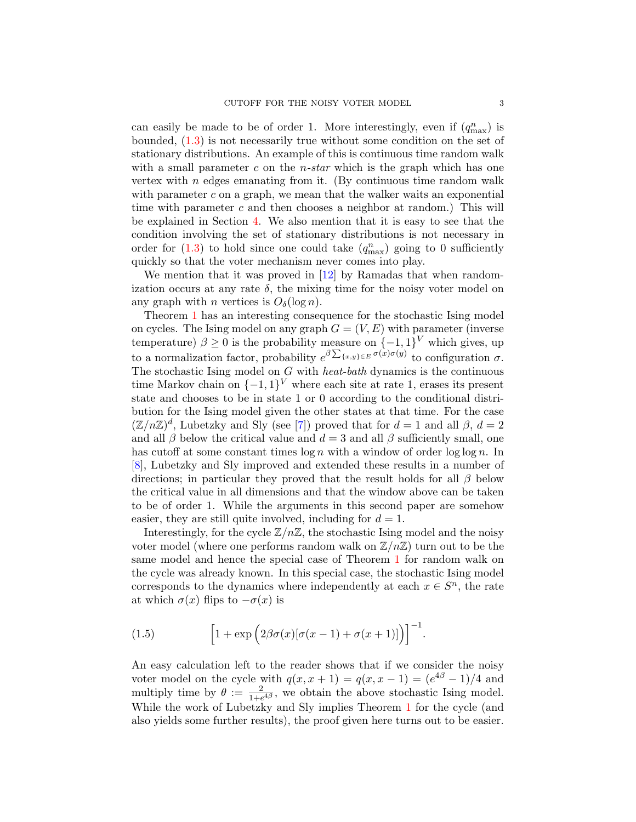can easily be made to be of order 1. More interestingly, even if  $(q_{\text{max}}^n)$  is bounded, [\(1.3\)](#page-1-3) is not necessarily true without some condition on the set of stationary distributions. An example of this is continuous time random walk with a small parameter  $c$  on the *n*-star which is the graph which has one vertex with  $n$  edges emanating from it. (By continuous time random walk with parameter  $c$  on a graph, we mean that the walker waits an exponential time with parameter c and then chooses a neighbor at random.) This will be explained in Section [4.](#page-11-0) We also mention that it is easy to see that the condition involving the set of stationary distributions is not necessary in order for  $(1.3)$  to hold since one could take  $(q_{\text{max}}^n)$  going to 0 sufficiently quickly so that the voter mechanism never comes into play.

We mention that it was proved in [\[12\]](#page-15-1) by Ramadas that when randomization occurs at any rate  $\delta$ , the mixing time for the noisy voter model on any graph with *n* vertices is  $O_{\delta}(\log n)$ .

Theorem [1](#page-1-2) has an interesting consequence for the stochastic Ising model on cycles. The Ising model on any graph  $G = (V, E)$  with parameter (inverse temperature)  $\beta \geq 0$  is the probability measure on  $\{-1,1\}^V$  which gives, up to a normalization factor, probability  $e^{\beta \sum_{\{x,y\}\in E} \sigma(x)\sigma(y)}$  to configuration  $\sigma$ . The stochastic Ising model on  $G$  with *heat-bath* dynamics is the continuous time Markov chain on  $\{-1,1\}^V$  where each site at rate 1, erases its present state and chooses to be in state 1 or 0 according to the conditional distribution for the Ising model given the other states at that time. For the case  $(\mathbb{Z}/n\mathbb{Z})^d$ , Lubetzky and Sly (see [\[7\]](#page-15-2)) proved that for  $d=1$  and all  $\beta$ ,  $d=2$ and all  $\beta$  below the critical value and  $d = 3$  and all  $\beta$  sufficiently small, one has cutoff at some constant times  $\log n$  with a window of order  $\log \log n$ . In [\[8\]](#page-15-3), Lubetzky and Sly improved and extended these results in a number of directions; in particular they proved that the result holds for all  $\beta$  below the critical value in all dimensions and that the window above can be taken to be of order 1. While the arguments in this second paper are somehow easier, they are still quite involved, including for  $d = 1$ .

Interestingly, for the cycle  $\mathbb{Z}/n\mathbb{Z}$ , the stochastic Ising model and the noisy voter model (where one performs random walk on  $\mathbb{Z}/n\mathbb{Z}$ ) turn out to be the same model and hence the special case of Theorem [1](#page-1-2) for random walk on the cycle was already known. In this special case, the stochastic Ising model corresponds to the dynamics where independently at each  $x \in S<sup>n</sup>$ , the rate at which  $\sigma(x)$  flips to  $-\sigma(x)$  is

(1.5) 
$$
\left[1+\exp\left(2\beta\sigma(x)[\sigma(x-1)+\sigma(x+1)]\right)\right]^{-1}.
$$

An easy calculation left to the reader shows that if we consider the noisy voter model on the cycle with  $q(x, x+1) = q(x, x-1) = (e^{4\beta} - 1)/4$  and multiply time by  $\theta := \frac{2}{1 + e^{4\beta}}$ , we obtain the above stochastic Ising model. While the work of Lubetzky and Sly implies Theorem [1](#page-1-2) for the cycle (and also yields some further results), the proof given here turns out to be easier.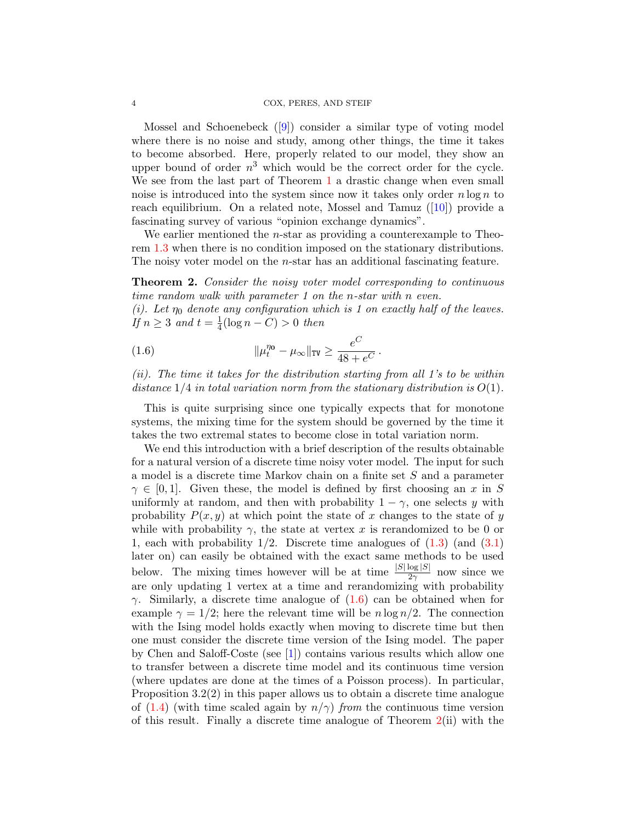#### 4 COX, PERES, AND STEIF

Mossel and Schoenebeck ([\[9\]](#page-15-4)) consider a similar type of voting model where there is no noise and study, among other things, the time it takes to become absorbed. Here, properly related to our model, they show an upper bound of order  $n^3$  which would be the correct order for the cycle. We see from the last part of Theorem [1](#page-1-2) a drastic change when even small noise is introduced into the system since now it takes only order  $n \log n$  to reach equilibrium. On a related note, Mossel and Tamuz  $([10])$  $([10])$  $([10])$  provide a fascinating survey of various "opinion exchange dynamics".

We earlier mentioned the *n*-star as providing a counterexample to Theorem [1.3](#page-1-3) when there is no condition imposed on the stationary distributions. The noisy voter model on the *n*-star has an additional fascinating feature.

<span id="page-3-1"></span>**Theorem 2.** Consider the noisy voter model corresponding to continuous time random walk with parameter 1 on the n-star with n even.

(i). Let  $\eta_0$  denote any configuration which is 1 on exactly half of the leaves. If  $n \geq 3$  and  $t = \frac{1}{4}$  $\frac{1}{4}(\log n - C) > 0$  then

<span id="page-3-0"></span>(1.6) 
$$
\|\mu_t^{\eta_0} - \mu_\infty\|_{TV} \geq \frac{e^C}{48 + e^C}.
$$

(ii). The time it takes for the distribution starting from all 1's to be within distance  $1/4$  in total variation norm from the stationary distribution is  $O(1)$ .

This is quite surprising since one typically expects that for monotone systems, the mixing time for the system should be governed by the time it takes the two extremal states to become close in total variation norm.

We end this introduction with a brief description of the results obtainable for a natural version of a discrete time noisy voter model. The input for such a model is a discrete time Markov chain on a finite set S and a parameter  $\gamma \in [0, 1]$ . Given these, the model is defined by first choosing an x in S uniformly at random, and then with probability  $1 - \gamma$ , one selects y with probability  $P(x, y)$  at which point the state of x changes to the state of y while with probability  $\gamma$ , the state at vertex x is rerandomized to be 0 or 1, each with probability  $1/2$ . Discrete time analogues of  $(1.3)$  (and  $(3.1)$ ) later on) can easily be obtained with the exact same methods to be used below. The mixing times however will be at time  $\frac{|S|\log |S|}{2\gamma}$  now since we are only updating 1 vertex at a time and rerandomizing with probability  $\gamma$ . Similarly, a discrete time analogue of [\(1.6\)](#page-3-0) can be obtained when for example  $\gamma = 1/2$ ; here the relevant time will be  $n \log n/2$ . The connection with the Ising model holds exactly when moving to discrete time but then one must consider the discrete time version of the Ising model. The paper by Chen and Saloff-Coste (see [\[1\]](#page-15-6)) contains various results which allow one to transfer between a discrete time model and its continuous time version (where updates are done at the times of a Poisson process). In particular, Proposition 3.2(2) in this paper allows us to obtain a discrete time analogue of [\(1.4\)](#page-1-0) (with time scaled again by  $n/\gamma$ ) from the continuous time version of this result. Finally a discrete time analogue of Theorem [2\(](#page-3-1)ii) with the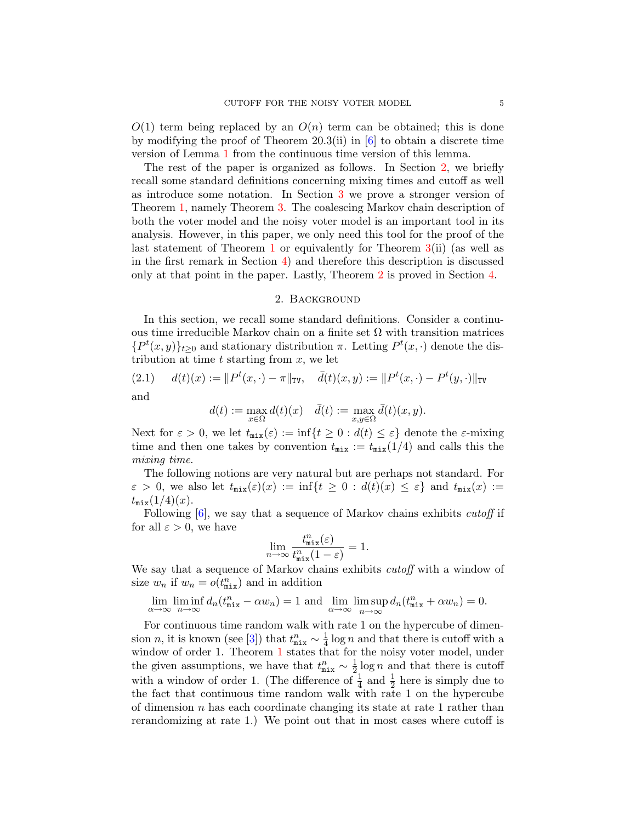$O(1)$  term being replaced by an  $O(n)$  term can be obtained; this is done by modifying the proof of Theorem 20.3(ii) in  $[6]$  to obtain a discrete time version of Lemma [1](#page-12-0) from the continuous time version of this lemma.

The rest of the paper is organized as follows. In Section [2,](#page-4-0) we briefly recall some standard definitions concerning mixing times and cutoff as well as introduce some notation. In Section [3](#page-5-1) we prove a stronger version of Theorem [1,](#page-1-2) namely Theorem [3.](#page-5-2) The coalescing Markov chain description of both the voter model and the noisy voter model is an important tool in its analysis. However, in this paper, we only need this tool for the proof of the last statement of Theorem [1](#page-1-2) or equivalently for Theorem [3\(](#page-5-2)ii) (as well as in the first remark in Section [4\)](#page-11-0) and therefore this description is discussed only at that point in the paper. Lastly, Theorem [2](#page-3-1) is proved in Section [4.](#page-11-0)

## 2. Background

<span id="page-4-0"></span>In this section, we recall some standard definitions. Consider a continuous time irreducible Markov chain on a finite set  $\Omega$  with transition matrices  ${P<sup>t</sup>(x, y)}<sub>t\ge0</sub>$  and stationary distribution  $\pi$ . Letting  $P<sup>t</sup>(x, \cdot)$  denote the distribution at time  $t$  starting from  $x$ , we let

(2.1) 
$$
d(t)(x) := ||P^t(x, \cdot) - \pi||_{TV}, \quad \bar{d}(t)(x, y) := ||P^t(x, \cdot) - P^t(y, \cdot)||_{TV}
$$
  
and

$$
d(t) := \max_{x \in \Omega} d(t)(x) \quad \bar{d}(t) := \max_{x, y \in \Omega} \bar{d}(t)(x, y).
$$

Next for  $\varepsilon > 0$ , we let  $t_{\text{mix}}(\varepsilon) := \inf\{t \geq 0 : d(t) \leq \varepsilon\}$  denote the  $\varepsilon$ -mixing time and then one takes by convention  $t_{\text{mix}} := t_{\text{mix}}(1/4)$  and calls this the mixing time.

The following notions are very natural but are perhaps not standard. For  $\varepsilon > 0$ , we also let  $t_{\min}(\varepsilon)(x) := \inf\{t \geq 0 : d(t)(x) \leq \varepsilon\}$  and  $t_{\min}(x) :=$  $t_{\rm mix}(1/4)(x)$ .

Following  $[6]$ , we say that a sequence of Markov chains exhibits *cutoff* if for all  $\varepsilon > 0$ , we have

$$
\lim_{n \to \infty} \frac{t_{\text{mix}}^n(\varepsilon)}{t_{\text{mix}}^n(1-\varepsilon)} = 1.
$$

We say that a sequence of Markov chains exhibits *cutoff* with a window of size  $w_n$  if  $w_n = o(t_{\text{mix}}^n)$  and in addition

$$
\lim_{\alpha \to \infty} \liminf_{n \to \infty} d_n(t_{\text{mix}}^n - \alpha w_n) = 1 \text{ and } \lim_{\alpha \to \infty} \limsup_{n \to \infty} d_n(t_{\text{mix}}^n + \alpha w_n) = 0.
$$

For continuous time random walk with rate 1 on the hypercube of dimension *n*, it is known (see [\[3\]](#page-15-8)) that  $t_{\text{mix}}^n \sim \frac{1}{4}$  $\frac{1}{4}$  log *n* and that there is cutoff with a window of order [1](#page-1-2). Theorem 1 states that for the noisy voter model, under the given assumptions, we have that  $t_{\texttt{mix}}^n \sim \frac{1}{2}$  $\frac{1}{2} \log n$  and that there is cutoff with a window of order 1. (The difference of  $\frac{1}{4}$  and  $\frac{1}{2}$  here is simply due to the fact that continuous time random walk with rate 1 on the hypercube of dimension  $n$  has each coordinate changing its state at rate 1 rather than rerandomizing at rate 1.) We point out that in most cases where cutoff is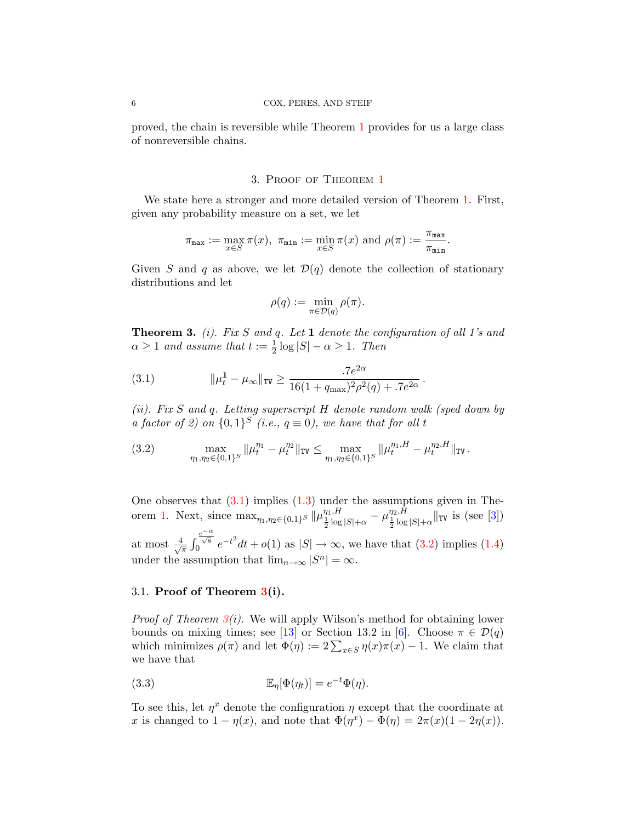proved, the chain is reversible while Theorem [1](#page-1-2) provides for us a large class of nonreversible chains.

# 3. Proof of Theorem [1](#page-1-2)

<span id="page-5-1"></span>We state here a stronger and more detailed version of Theorem [1.](#page-1-2) First, given any probability measure on a set, we let

$$
\pi_{\texttt{max}} := \max_{x \in S} \pi(x), \ \pi_{\texttt{min}} := \min_{x \in S} \pi(x) \text{ and } \rho(\pi) := \frac{\pi_{\texttt{max}}}{\pi_{\texttt{min}}}
$$

.

Given S and q as above, we let  $\mathcal{D}(q)$  denote the collection of stationary distributions and let

$$
\rho(q):=\min_{\pi\in\mathcal{D}(q)}\rho(\pi).
$$

<span id="page-5-2"></span>**Theorem 3.** (i). Fix S and q. Let 1 denote the configuration of all 1's and  $\alpha \geq 1$  and assume that  $t := \frac{1}{2} \log |S| - \alpha \geq 1$ . Then

<span id="page-5-0"></span>(3.1) 
$$
\|\mu_t^1 - \mu_\infty\|_{TV} \ge \frac{.7e^{2\alpha}}{16(1 + q_{\max})^2 \rho^2(q) + .7e^{2\alpha}}.
$$

(ii). Fix S and q. Letting superscript H denote random walk (sped down by a factor of 2) on  $\{0,1\}^S$  (i.e.,  $q \equiv 0$ ), we have that for all t

<span id="page-5-3"></span>(3.2) 
$$
\max_{\eta_1,\eta_2\in\{0,1\}^S} \|\mu_t^{\eta_1} - \mu_t^{\eta_2}\|_{\text{TV}} \leq \max_{\eta_1,\eta_2\in\{0,1\}^S} \|\mu_t^{\eta_1,H} - \mu_t^{\eta_2,H}\|_{\text{TV}}.
$$

One observes that  $(3.1)$  implies  $(1.3)$  under the assumptions given in The-orem [1.](#page-1-2) Next, since  $\max_{\eta_1,\eta_2\in\{0,1\}^S} \|\mu_{\frac{1}{2}\log|S|+\alpha}^{\eta_1,H} - \mu_{\frac{1}{2}\log|S|+\alpha}^{\eta_2,H} \|\text{TV}$  is (see [\[3\]](#page-15-8)) at most  $\frac{4}{4}$  $\frac{1}{\pi}$   $\int$  $\int_0^{\frac{e^{-\alpha}}{\sqrt{8}}} e^{-t^2} dt + o(1)$  as  $|S| \to \infty$ , we have that  $(3.2)$  implies  $(1.4)$ under the assumption that  $\lim_{n\to\infty} |S^n| = \infty$ .

## 3.1. Proof of Theorem [3\(](#page-5-2)i).

*Proof of Theorem [3\(](#page-5-2)i).* We will apply Wilson's method for obtaining lower bounds on mixing times; see [\[13\]](#page-15-9) or Section 13.2 in [\[6\]](#page-15-7). Choose  $\pi \in \mathcal{D}(q)$ which minimizes  $\rho(\pi)$  and let  $\Phi(\eta) := 2 \sum_{x \in S} \eta(x)\pi(x) - 1$ . We claim that we have that

<span id="page-5-4"></span>(3.3) 
$$
\mathbb{E}_{\eta}[\Phi(\eta_t)] = e^{-t}\Phi(\eta).
$$

To see this, let  $\eta^x$  denote the configuration  $\eta$  except that the coordinate at x is changed to  $1 - \eta(x)$ , and note that  $\Phi(\eta^x) - \Phi(\eta) = 2\pi(x)(1 - 2\eta(x))$ .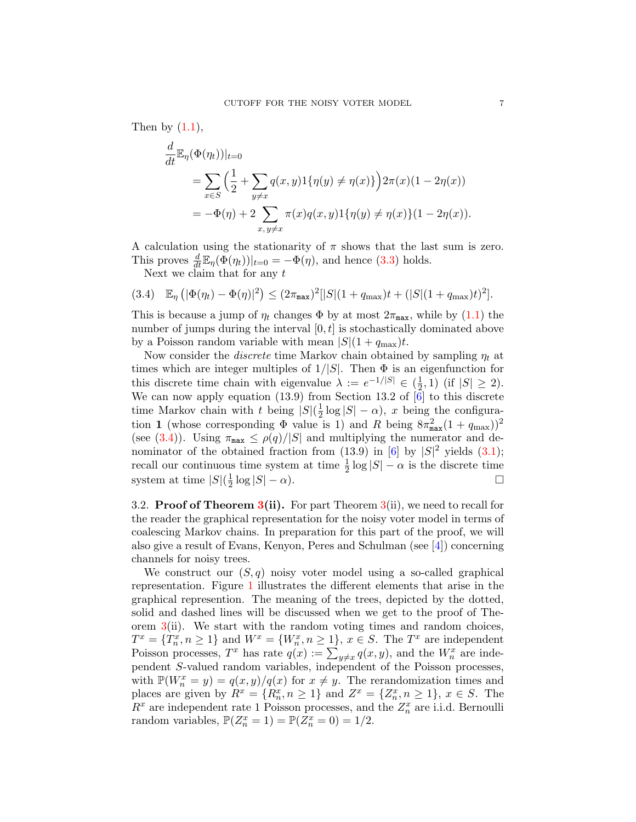Then by  $(1.1)$ ,

$$
\frac{d}{dt} \mathbb{E}_{\eta}(\Phi(\eta_t))|_{t=0} \n= \sum_{x \in S} \left( \frac{1}{2} + \sum_{y \neq x} q(x, y) 1\{\eta(y) \neq \eta(x)\} \right) 2\pi(x) (1 - 2\eta(x)) \n= -\Phi(\eta) + 2 \sum_{x, y \neq x} \pi(x) q(x, y) 1\{\eta(y) \neq \eta(x)\} (1 - 2\eta(x)).
$$

A calculation using the stationarity of  $\pi$  shows that the last sum is zero. This proves  $\frac{d}{dt} \mathbb{E}_{\eta}(\Phi(\eta_t))|_{t=0} = -\Phi(\eta)$ , and hence [\(3.3\)](#page-5-4) holds.

<span id="page-6-0"></span>Next we claim that for any  $t$ 

$$
(3.4) \mathbb{E}_{\eta} \left( |\Phi(\eta_t) - \Phi(\eta)|^2 \right) \leq (2\pi_{\max})^2 \left[ |S| (1 + q_{\max}) t + (|S| (1 + q_{\max}) t)^2 \right].
$$

This is because a jump of  $\eta_t$  changes  $\Phi$  by at most  $2\pi_{\max}$ , while by [\(1.1\)](#page-0-0) the number of jumps during the interval  $[0, t]$  is stochastically dominated above by a Poisson random variable with mean  $|S|(1 + q_{\text{max}})t$ .

Now consider the *discrete* time Markov chain obtained by sampling  $\eta_t$  at times which are integer multiples of  $1/|S|$ . Then  $\Phi$  is an eigenfunction for this discrete time chain with eigenvalue  $\lambda := e^{-1/|S|} \in \left(\frac{1}{2}\right)$  $(\frac{1}{2}, 1)$  (if  $|S| \geq 2$ ). We can now apply equation (13.9) from Section 13.2 of  $|\tilde{6}|$  to this discrete time Markov chain with t being  $|S|(\frac{1}{2})$  $\frac{1}{2} \log |S| - \alpha$ , x being the configuration 1 (whose corresponding  $\Phi$  value is 1) and R being  $8\pi_{\max}^2(1+q_{\max}))^2$ (see [\(3.4\)](#page-6-0)). Using  $\pi_{\text{max}} \leq \rho(q)/|S|$  and multiplying the numerator and de-nominator of the obtained fraction from (13.9) in [\[6\]](#page-15-7) by  $|S|^2$  yields [\(3.1\)](#page-5-0); recall our continuous time system at time  $\frac{1}{2} \log |S| - \alpha$  is the discrete time system at time  $|S|(\frac{1}{2})$  $\frac{1}{2}\log|S|-\alpha$ .

3.2. **Proof of Theorem [3\(](#page-5-2)ii).** For part Theorem  $3(ii)$ , we need to recall for the reader the graphical representation for the noisy voter model in terms of coalescing Markov chains. In preparation for this part of the proof, we will also give a result of Evans, Kenyon, Peres and Schulman (see [\[4\]](#page-15-10)) concerning channels for noisy trees.

We construct our  $(S, q)$  noisy voter model using a so-called graphical representation. Figure [1](#page-7-0) illustrates the different elements that arise in the graphical represention. The meaning of the trees, depicted by the dotted, solid and dashed lines will be discussed when we get to the proof of Theorem  $3(i)$  $3(i)$ . We start with the random voting times and random choices,  $T^x = \{T_n^x, n \ge 1\}$  and  $W^x = \{W_n^x, n \ge 1\}$ ,  $x \in S$ . The  $T^x$  are independent Poisson processes,  $T^x$  has rate  $q(x) := \sum_{y \neq x} q(x, y)$ , and the  $W_n^x$  are independent S-valued random variables, independent of the Poisson processes, with  $\mathbb{P}(W_n^x = y) = q(x, y)/q(x)$  for  $x \neq y$ . The rerandomization times and places are given by  $R^x = \{R_n^x, n \ge 1\}$  and  $Z^x = \{Z_n^x, n \ge 1\}$ ,  $x \in S$ . The  $R^x$  are independent rate 1 Poisson processes, and the  $Z_n^x$  are i.i.d. Bernoulli random variables,  $\mathbb{P}(Z_n^x = 1) = \mathbb{P}(Z_n^x = 0) = 1/2$ .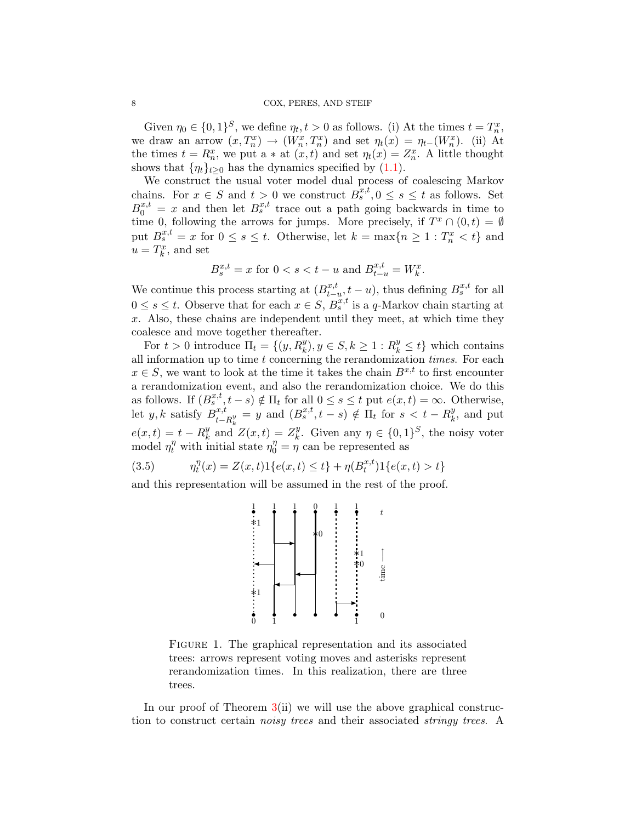Given  $\eta_0 \in \{0,1\}^S$ , we define  $\eta_t, t > 0$  as follows. (i) At the times  $t = T_n^x$ , we draw an arrow  $(x, T_n^x) \to (W_n^x, T_n^x)$  and set  $\eta_t(x) = \eta_{t-1}(W_n^x)$ . (ii) At the times  $t = R_n^x$ , we put a  $*$  at  $(x, t)$  and set  $\eta_t(x) = Z_n^x$ . A little thought shows that  $\{\eta_t\}_{t>0}$  has the dynamics specified by [\(1.1\)](#page-0-0).

We construct the usual voter model dual process of coalescing Markov chains. For  $x \in S$  and  $t > 0$  we construct  $B_s^{x,t}$ ,  $0 \le s \le t$  as follows. Set  $B_0^{x,t} = x$  and then let  $B_s^{x,t}$  trace out a path going backwards in time to time 0, following the arrows for jumps. More precisely, if  $T^x \cap (0,t) = \emptyset$ put  $B_s^{x,t} = x$  for  $0 \le s \le t$ . Otherwise, let  $k = \max\{n \ge 1 : T_n^x < t\}$  and  $u=T_k^x$ , and set

$$
B^{x,t}_s = x \text{ for } 0 < s < t-u \text{ and } B^{x,t}_{t-u} = W^x_k.
$$

We continue this process starting at  $(B_{t-1}^{x,t})$  $_{t-u}^{x,t}$ ,  $t-u$ , thus defining  $B_s^{x,t}$  for all  $0 \leq s \leq t$ . Observe that for each  $x \in S$ ,  $B_s^{x,t}$  is a q-Markov chain starting at  $x$ . Also, these chains are independent until they meet, at which time they coalesce and move together thereafter.

For  $t > 0$  introduce  $\Pi_t = \{(y, R_k^y), y \in S, k \ge 1 : R_k^y \le t\}$  which contains all information up to time  $t$  concerning the rerandomization times. For each  $x \in S$ , we want to look at the time it takes the chain  $B^{x,t}$  to first encounter a rerandomization event, and also the rerandomization choice. We do this as follows. If  $(B_s^{x,t}, t-s) \notin \Pi_t$  for all  $0 \le s \le t$  put  $e(x,t) = \infty$ . Otherwise, let  $y, k$  satisfy  $B^{x,t}_t$  $\mathcal{L}_{t-R_k^y}^{x,t} = y$  and  $(B_s^{x,t}, t - s) \notin \Pi_t$  for  $s < t - R_k^y$  $e(x,t) = t - R_k^y$  and  $\frac{y}{k}$ , and put  $\int_k^y$  and  $Z(x,t) = Z_k^y$ <sup>y</sup>. Given any  $\eta \in \{0,1\}^S$ , the noisy voter model  $\eta_t^{\eta}$  with initial state  $\eta_0^{\eta} = \eta$  can be represented as

<span id="page-7-1"></span>(3.5) 
$$
\eta_t^{\eta}(x) = Z(x,t)1\{e(x,t) \le t\} + \eta(B_t^{x,t})1\{e(x,t) > t\}
$$

and this representation will be assumed in the rest of the proof.



<span id="page-7-0"></span>Figure 1. The graphical representation and its associated trees: arrows represent voting moves and asterisks represent rerandomization times. In this realization, there are three trees.

In our proof of Theorem  $3(ii)$  $3(ii)$  we will use the above graphical construction to construct certain noisy trees and their associated stringy trees. A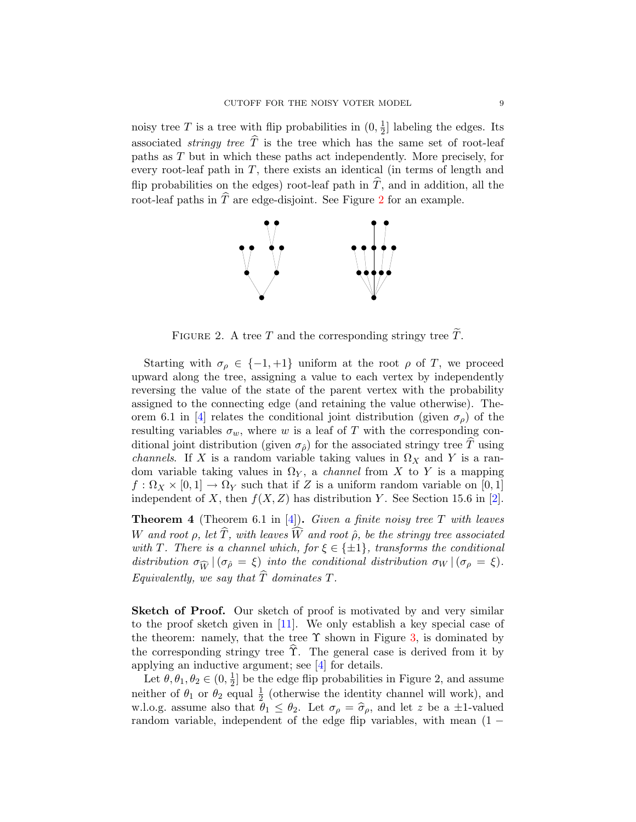noisy tree T is a tree with flip probabilities in  $(0, \frac{1}{2})$  $\frac{1}{2}$  labeling the edges. Its associated *stringy tree*  $\widehat{T}$  is the tree which has the same set of root-leaf paths as T but in which these paths act independently. More precisely, for every root-leaf path in  $T$ , there exists an identical (in terms of length and flip probabilities on the edges) root-leaf path in  $\hat{T}$ , and in addition, all the root-leaf paths in  $\hat{T}$  are edge-disjoint. See Figure [2](#page-8-0) for an example.



<span id="page-8-0"></span>FIGURE 2. A tree T and the corresponding stringy tree  $\tilde{T}$ .

Starting with  $\sigma_{\rho} \in \{-1, +1\}$  uniform at the root  $\rho$  of T, we proceed upward along the tree, assigning a value to each vertex by independently reversing the value of the state of the parent vertex with the probability assigned to the connecting edge (and retaining the value otherwise). The-orem 6.1 in [\[4\]](#page-15-10) relates the conditional joint distribution (given  $\sigma_{\rho}$ ) of the resulting variables  $\sigma_w$ , where w is a leaf of T with the corresponding conditional joint distribution (given  $\sigma_{\hat{\rho}}$ ) for the associated stringy tree T using *channels.* If X is a random variable taking values in  $\Omega_X$  and Y is a random variable taking values in  $\Omega_Y$ , a *channel* from X to Y is a mapping  $f: \Omega_X \times [0,1] \to \Omega_Y$  such that if Z is a uniform random variable on [0, 1] independent of X, then  $f(X, Z)$  has distribution Y. See Section 15.6 in [\[2\]](#page-15-11).

<span id="page-8-1"></span>**Theorem 4** (Theorem 6.1 in [\[4\]](#page-15-10)). Given a finite noisy tree T with leaves W and root  $\rho$ , let  $\widehat{T}$ , with leaves  $\widehat{W}$  and root  $\widehat{\rho}$ , be the stringy tree associated with T. There is a channel which, for  $\xi \in \{\pm 1\}$ , transforms the conditional distribution  $\sigma_{\widehat{W}} |(\sigma_{\widehat{\rho}} = \xi)$  into the conditional distribution  $\sigma_W |(\sigma_{\rho} = \xi)$ . Equivalently, we say that  $\widehat{T}$  dominates T.

Sketch of Proof. Our sketch of proof is motivated by and very similar to the proof sketch given in [\[11\]](#page-15-12). We only establish a key special case of the theorem: namely, that the tree  $\Upsilon$  shown in Figure [3,](#page-9-0) is dominated by the corresponding stringy tree  $\hat{\Upsilon}$ . The general case is derived from it by applying an inductive argument; see [\[4\]](#page-15-10) for details.

Let  $\theta, \theta_1, \theta_2 \in (0, \frac{1}{2})$  $\frac{1}{2}$  be the edge flip probabilities in Figure 2, and assume neither of  $\theta_1$  or  $\theta_2$  equal  $\frac{1}{2}$  (otherwise the identity channel will work), and w.l.o.g. assume also that  $\theta_1 \leq \theta_2$ . Let  $\sigma_\rho = \hat{\sigma}_\rho$ , and let z be a  $\pm 1$ -valued<br>random variable, independent of the edge flip variables, with mean (1) random variable, independent of the edge flip variables, with mean  $(1 -$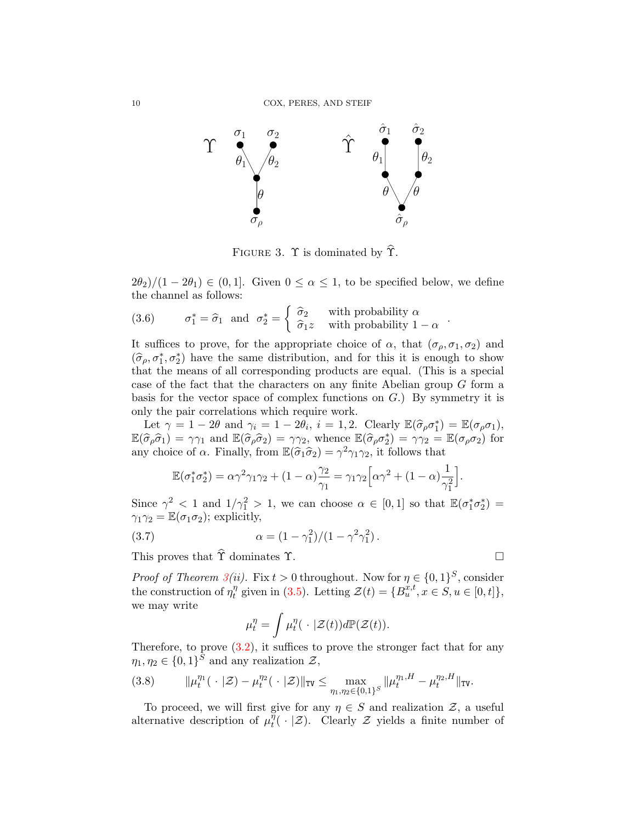

<span id="page-9-0"></span>FIGURE 3.  $\Upsilon$  is dominated by  $\hat{\Upsilon}$ .

 $2\theta_2$ / $(1-2\theta_1) \in (0,1]$ . Given  $0 \le \alpha \le 1$ , to be specified below, we define the channel as follows:

(3.6) 
$$
\sigma_1^* = \hat{\sigma}_1
$$
 and  $\sigma_2^* = \begin{cases} \hat{\sigma}_2 & \text{with probability } \alpha \\ \hat{\sigma}_1 z & \text{with probability } 1 - \alpha \end{cases}$ 

It suffices to prove, for the appropriate choice of  $\alpha$ , that  $(\sigma_{\rho}, \sigma_1, \sigma_2)$  and  $(\hat{\sigma}_{\rho}, \sigma_1^*, \sigma_2^*)$  have the same distribution, and for this it is enough to show<br>that the means of all corresponding products are equal. (This is a special that the means of all corresponding products are equal. (This is a special case of the fact that the characters on any finite Abelian group G form a basis for the vector space of complex functions on  $G$ .) By symmetry it is only the pair correlations which require work.

Let  $\gamma = 1 - 2\theta$  and  $\gamma_i = 1 - 2\theta_i$ ,  $i = 1, 2$ . Clearly  $\mathbb{E}(\hat{\sigma}_{\rho}\sigma_1^*) = \mathbb{E}(\sigma_{\rho}\sigma_1)$ ,<br>  $\hat{\sigma}(\hat{\sigma}_i) = \infty$  and  $\mathbb{E}(\hat{\sigma}_{\hat{\sigma}}) = \infty$  whence  $\mathbb{E}(\hat{\sigma}_{\hat{\sigma}} \hat{\sigma}_1^*) = \infty$  =  $\mathbb{E}(\sigma, \sigma_1)$  for  $\mathbb{E}(\widehat{\sigma}_{\rho}\widehat{\sigma}_{1}) = \gamma\gamma_{1}$  and  $\mathbb{E}(\widehat{\sigma}_{\rho}\widehat{\sigma}_{2}) = \gamma\gamma_{2}$ , whence  $\mathbb{E}(\widehat{\sigma}_{\rho}\sigma_{2}^{*}) = \gamma\gamma_{2} = \mathbb{E}(\sigma_{\rho}\sigma_{2})$  for any choice of  $\alpha$ . Finally, from  $\mathbb{E}(\hat{\sigma}_1\hat{\sigma}_2) = \gamma^2\gamma_1\gamma_2$ , it follows that

$$
\mathbb{E}(\sigma_1^*\sigma_2^*) = \alpha\gamma^2\gamma_1\gamma_2 + (1-\alpha)\frac{\gamma_2}{\gamma_1} = \gamma_1\gamma_2\Big[\alpha\gamma^2 + (1-\alpha)\frac{1}{\gamma_1^2}\Big].
$$

Since  $\gamma^2$  < 1 and  $1/\gamma_1^2 > 1$ , we can choose  $\alpha \in [0,1]$  so that  $\mathbb{E}(\sigma_1^*\sigma_2^*) =$  $\gamma_1\gamma_2 = \mathbb{E}(\sigma_1\sigma_2)$ ; explicitly,

(3.7) 
$$
\alpha = (1 - \gamma_1^2)/(1 - \gamma^2 \gamma_1^2).
$$

This proves that  $\hat{\Upsilon}$  dominates  $\Upsilon$ .

*Proof of Theorem [3\(](#page-5-2)ii).* Fix  $t > 0$  throughout. Now for  $\eta \in \{0,1\}^S$ , consider the construction of  $\eta_t^{\eta}$  $t_{t}^{\eta}$  given in [\(3.5\)](#page-7-1). Letting  $\mathcal{Z}(t) = \{B_{u}^{x,t}, x \in S, u \in [0, t]\},$ we may write

$$
\mu_t^{\eta} = \int \mu_t^{\eta} (\cdot | \mathcal{Z}(t)) d\mathbb{P}(\mathcal{Z}(t)).
$$

Therefore, to prove  $(3.2)$ , it suffices to prove the stronger fact that for any  $\eta_1, \eta_2 \in \{0,1\}^S$  and any realization  $\mathcal{Z},$ 

$$
(3.8) \t\t ||\mu_t^{\eta_1}(\ \cdot \ |\mathcal{Z}) - \mu_t^{\eta_2}(\ \cdot \ |\mathcal{Z})\|_{\text{TV}} \leq \max_{\eta_1, \eta_2 \in \{0, 1\}^S} \|\mu_t^{\eta_1, H} - \mu_t^{\eta_2, H}\|_{\text{TV}}.
$$

To proceed, we will first give for any  $\eta \in S$  and realization  $\mathcal{Z}$ , a useful alternative description of  $\mu_t^{\eta}$  $_{t}^{\eta}(\cdot|\mathcal{Z})$ . Clearly  $\mathcal Z$  yields a finite number of

$$
\qquad \qquad \Box
$$

.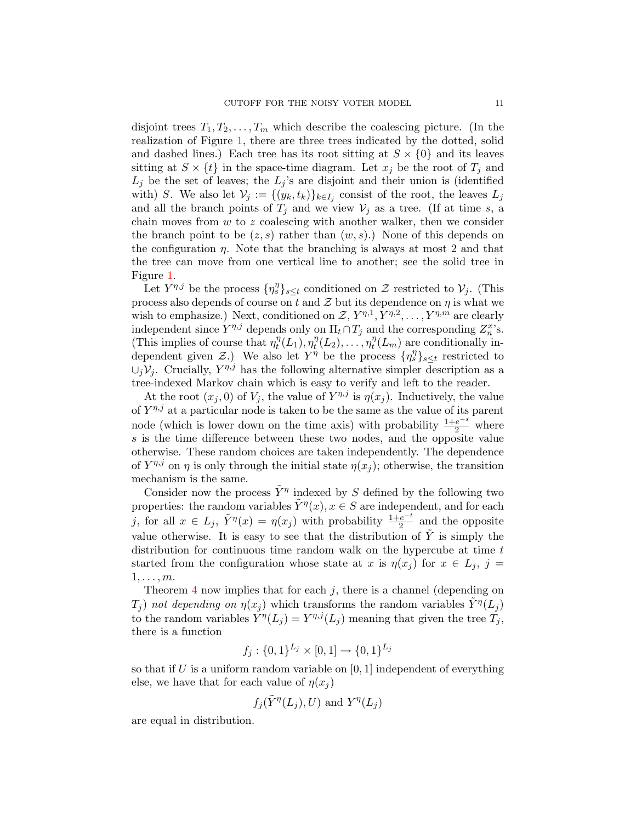disjoint trees  $T_1, T_2, \ldots, T_m$  which describe the coalescing picture. (In the realization of Figure [1,](#page-7-0) there are three trees indicated by the dotted, solid and dashed lines.) Each tree has its root sitting at  $S \times \{0\}$  and its leaves sitting at  $S \times \{t\}$  in the space-time diagram. Let  $x_j$  be the root of  $T_j$  and  $L_j$  be the set of leaves; the  $L_j$ 's are disjoint and their union is (identified with) S. We also let  $\mathcal{V}_j := \{(y_k, t_k)\}_{k \in I_j}$  consist of the root, the leaves  $L_j$ and all the branch points of  $T_i$  and we view  $V_i$  as a tree. (If at time s, a chain moves from  $w$  to  $z$  coalescing with another walker, then we consider the branch point to be  $(z, s)$  rather than  $(w, s)$ .) None of this depends on the configuration  $\eta$ . Note that the branching is always at most 2 and that the tree can move from one vertical line to another; see the solid tree in Figure [1.](#page-7-0)

Let  $Y^{\eta,j}$  be the process  $\{\eta_s^{\eta}\}_{s\leq t}$  conditioned on  $\mathcal Z$  restricted to  $\mathcal V_j$ . (This process also depends of course on t and  $\mathcal Z$  but its dependence on  $\eta$  is what we wish to emphasize.) Next, conditioned on  $\mathcal{Z}, Y^{\eta,1}, Y^{\eta,2}, \ldots, Y^{\eta,m}$  are clearly independent since  $Y^{\eta,j}$  depends only on  $\Pi_t \cap T_j$  and the corresponding  $Z_n^x$ 's. (This implies of course that  $\eta_t^{\eta}$  $\int_t^\eta(L_1),\eta_t^\eta$  $t^{\eta}(L_2),\ldots,\eta_t^{\eta}$  $t_l^{\eta}(L_m)$  are conditionally independent given Z.) We also let  $Y^{\eta}$  be the process  $\{\eta_s^{\eta}\}_{s\leq t}$  restricted to  $\cup_j \mathcal{V}_j$ . Crucially,  $Y^{\eta,j}$  has the following alternative simpler description as a tree-indexed Markov chain which is easy to verify and left to the reader.

At the root  $(x_j, 0)$  of  $V_j$ , the value of  $Y^{\eta, j}$  is  $\eta(x_j)$ . Inductively, the value of  $Y^{\eta,j}$  at a particular node is taken to be the same as the value of its parent node (which is lower down on the time axis) with probability  $\frac{1+e^{-s}}{2}$  where s is the time difference between these two nodes, and the opposite value otherwise. These random choices are taken independently. The dependence of  $Y^{\eta,j}$  on  $\eta$  is only through the initial state  $\eta(x_j)$ ; otherwise, the transition mechanism is the same.

Consider now the process  $\tilde{Y}^{\eta}$  indexed by S defined by the following two properties: the random variables  $\tilde{Y}^{\eta}(x), x \in S$  are independent, and for each j, for all  $x \in L_j$ ,  $\tilde{Y}^{\eta}(x) = \eta(x_j)$  with probability  $\frac{1+e^{-t}}{2}$  and the opposite value otherwise. It is easy to see that the distribution of  $\tilde{Y}$  is simply the distribution for continuous time random walk on the hypercube at time t started from the configuration whose state at x is  $\eta(x_j)$  for  $x \in L_j$ ,  $j =$  $1, \ldots, m$ .

Theorem [4](#page-8-1) now implies that for each  $j$ , there is a channel (depending on  $T_j$ ) not depending on  $\eta(x_j)$  which transforms the random variables  $\tilde{Y}^{\eta}(L_j)$ to the random variables  $Y^{\eta}(L_j) = Y^{\eta,j}(L_j)$  meaning that given the tree  $T_j$ , there is a function

$$
f_j: \{0,1\}^{L_j} \times [0,1] \to \{0,1\}^{L_j}
$$

so that if  $U$  is a uniform random variable on  $[0, 1]$  independent of everything else, we have that for each value of  $\eta(x_i)$ 

$$
f_j(\tilde{Y}^{\eta}(L_j), U)
$$
 and  $Y^{\eta}(L_j)$ 

are equal in distribution.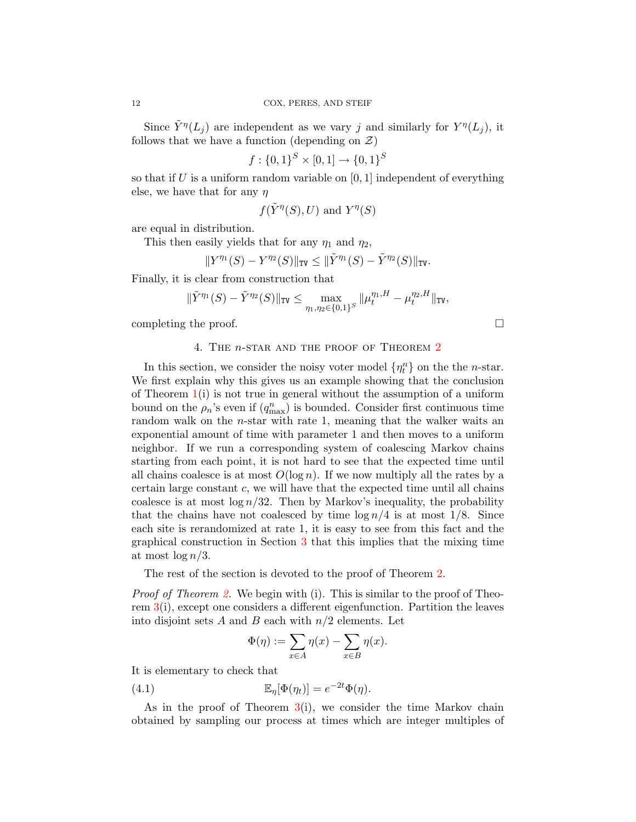Since  $\tilde{Y}^{\eta}(L_j)$  are independent as we vary j and similarly for  $Y^{\eta}(L_j)$ , it follows that we have a function (depending on  $\mathcal{Z}$ )

$$
f: \{0,1\}^S \times [0,1] \to \{0,1\}^S
$$

so that if U is a uniform random variable on  $[0, 1]$  independent of everything else, we have that for any  $\eta$ 

$$
f(\tilde{Y}^{\eta}(S), U)
$$
 and  $Y^{\eta}(S)$ 

are equal in distribution.

This then easily yields that for any  $\eta_1$  and  $\eta_2$ ,

$$
\|Y^{\eta_1}(S)-Y^{\eta_2}(S)\|_{\mathtt{TV}} \leq \|\tilde Y^{\eta_1}(S)-\tilde Y^{\eta_2}(S)\|_{\mathtt{TV}}.
$$

Finally, it is clear from construction that

$$
\|\tilde{Y}^{\eta_1}(S)-\tilde{Y}^{\eta_2}(S)\|_{\text{TV}}\leq \max_{\eta_1,\eta_2\in\{0,1\}^S}\|\mu_t^{\eta_1,H}-\mu_t^{\eta_2,H}\|_{\text{TV}},
$$

<span id="page-11-0"></span>completing the proof.

# 4. THE *n*-STAR AND THE PROOF OF THEOREM [2](#page-3-1)

In this section, we consider the noisy voter model  $\{\eta_t^n\}$  on the the *n*-star. We first explain why this gives us an example showing that the conclusion of Theorem  $1(i)$  $1(i)$  is not true in general without the assumption of a uniform bound on the  $\rho_n$ 's even if  $(q_{\text{max}}^n)$  is bounded. Consider first continuous time random walk on the *n*-star with rate 1, meaning that the walker waits an exponential amount of time with parameter 1 and then moves to a uniform neighbor. If we run a corresponding system of coalescing Markov chains starting from each point, it is not hard to see that the expected time until all chains coalesce is at most  $O(\log n)$ . If we now multiply all the rates by a certain large constant  $c$ , we will have that the expected time until all chains coalesce is at most  $\log n/32$ . Then by Markov's inequality, the probability that the chains have not coalesced by time  $\log n/4$  is at most 1/8. Since each site is rerandomized at rate 1, it is easy to see from this fact and the graphical construction in Section [3](#page-5-1) that this implies that the mixing time at most  $\log n/3$ .

The rest of the section is devoted to the proof of Theorem [2.](#page-3-1)

*Proof of Theorem [2.](#page-3-1)* We begin with (i). This is similar to the proof of Theorem [3\(](#page-5-2)i), except one considers a different eigenfunction. Partition the leaves into disjoint sets A and B each with  $n/2$  elements. Let

$$
\Phi(\eta) := \sum_{x \in A} \eta(x) - \sum_{x \in B} \eta(x).
$$

It is elementary to check that

(4.1) 
$$
\mathbb{E}_{\eta}[\Phi(\eta_t)] = e^{-2t}\Phi(\eta).
$$

As in the proof of Theorem  $3(i)$  $3(i)$ , we consider the time Markov chain obtained by sampling our process at times which are integer multiples of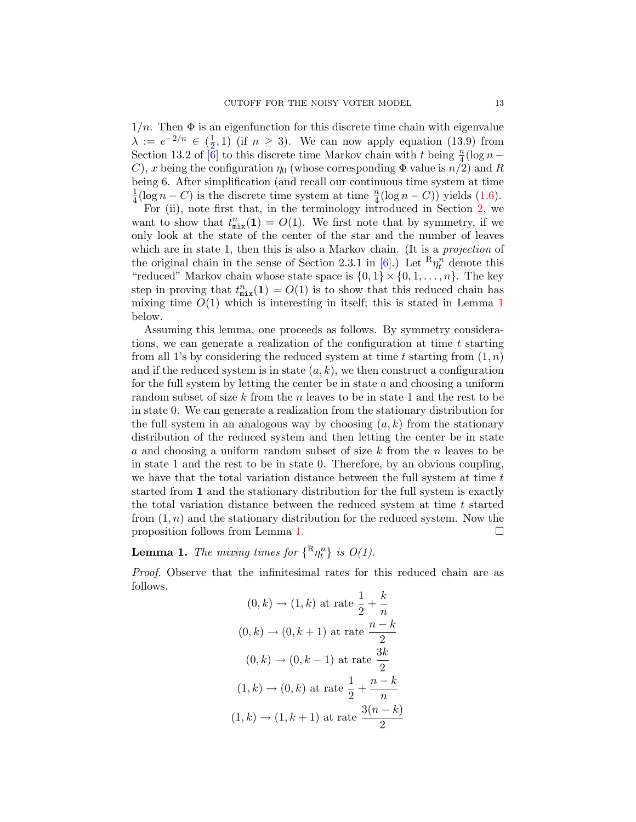$1/n$ . Then  $\Phi$  is an eigenfunction for this discrete time chain with eigenvalue  $\lambda := e^{-2/n} \in \left(\frac{1}{2}\right)$  $(\frac{1}{2}, 1)$  (if  $n \geq 3$ ). We can now apply equation (13.9) from Section 13.2 of  $\left[\tilde{6}\right]$  to this discrete time Markov chain with t being  $\frac{n}{4}(\log n -$ C), x being the configuration  $\eta_0$  (whose corresponding  $\Phi$  value is  $n/2$ ) and R being 6. After simplification (and recall our continuous time system at time 1  $\frac{1}{4}(\log n - C)$  is the discrete time system at time  $\frac{n}{4}(\log n - C)$  yields [\(1.6\)](#page-3-0).

For (ii), note first that, in the terminology introduced in Section [2,](#page-4-0) we want to show that  $t_{\text{mix}}^n(\mathbf{1}) = O(1)$ . We first note that by symmetry, if we only look at the state of the center of the star and the number of leaves which are in state 1, then this is also a Markov chain. (It is a *projection* of the original chain in the sense of Section 2.3.1 in [\[6\]](#page-15-7).) Let  $R\eta_t^n$  denote this "reduced" Markov chain whose state space is  $\{0,1\} \times \{0,1,\ldots,n\}$ . The key step in proving that  $t_{\text{mix}}^n(1) = O(1)$  is to show that this reduced chain has mixing time  $O(1)$  $O(1)$  $O(1)$  which is interesting in itself; this is stated in Lemma 1 below.

Assuming this lemma, one proceeds as follows. By symmetry considerations, we can generate a realization of the configuration at time  $t$  starting from all 1's by considering the reduced system at time t starting from  $(1, n)$ and if the reduced system is in state  $(a, k)$ , we then construct a configuration for the full system by letting the center be in state  $a$  and choosing a uniform random subset of size k from the n leaves to be in state 1 and the rest to be in state 0. We can generate a realization from the stationary distribution for the full system in an analogous way by choosing  $(a, k)$  from the stationary distribution of the reduced system and then letting the center be in state a and choosing a uniform random subset of size k from the n leaves to be in state 1 and the rest to be in state 0. Therefore, by an obvious coupling, we have that the total variation distance between the full system at time  $t$ started from 1 and the stationary distribution for the full system is exactly the total variation distance between the reduced system at time  $t$  started from  $(1, n)$  and the stationary distribution for the reduced system. Now the proposition follows from Lemma [1.](#page-12-0)

<span id="page-12-0"></span>**Lemma 1.** The mixing times for  $\{^{\mathbf{R}}\eta_t^n\}$  is  $O(1)$ .

Proof. Observe that the infinitesimal rates for this reduced chain are as follows.

$$
(0,k) \rightarrow (1,k) \text{ at rate } \frac{1}{2} + \frac{k}{n}
$$

$$
(0,k) \rightarrow (0,k+1) \text{ at rate } \frac{n-k}{2}
$$

$$
(0,k) \rightarrow (0,k-1) \text{ at rate } \frac{3k}{2}
$$

$$
(1,k) \rightarrow (0,k) \text{ at rate } \frac{1}{2} + \frac{n-k}{n}
$$

$$
(1,k) \rightarrow (1,k+1) \text{ at rate } \frac{3(n-k)}{2}
$$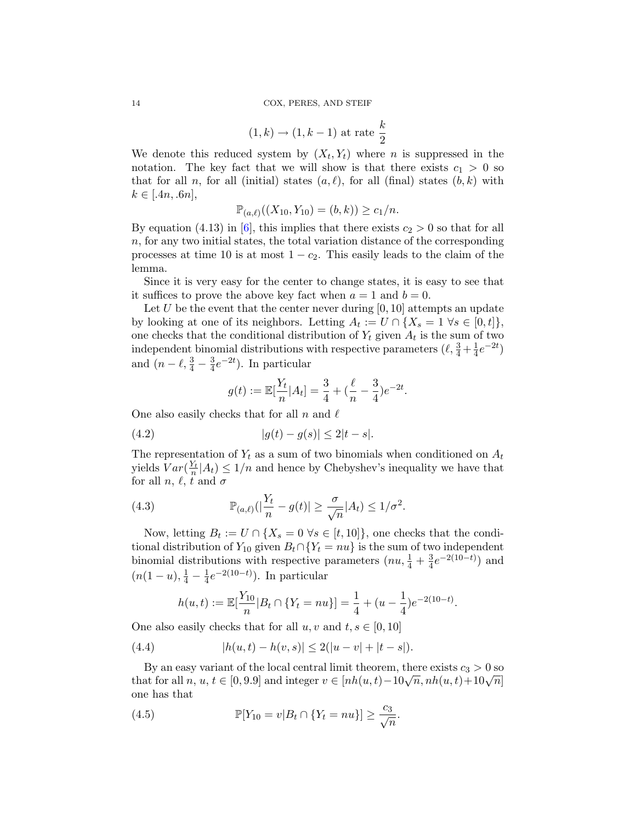$$
(1,k) \rightarrow (1,k-1)
$$
 at rate  $\frac{k}{2}$ 

We denote this reduced system by  $(X_t, Y_t)$  where *n* is suppressed in the notation. The key fact that we will show is that there exists  $c_1 > 0$  so that for all n, for all (initial) states  $(a, \ell)$ , for all (final) states  $(b, k)$  with  $k \in [.4n, .6n],$ 

$$
\mathbb{P}_{(a,\ell)}((X_{10},Y_{10})=(b,k))\geq c_1/n.
$$

By equation (4.13) in [\[6\]](#page-15-7), this implies that there exists  $c_2 > 0$  so that for all n, for any two initial states, the total variation distance of the corresponding processes at time 10 is at most  $1 - c_2$ . This easily leads to the claim of the lemma.

Since it is very easy for the center to change states, it is easy to see that it suffices to prove the above key fact when  $a = 1$  and  $b = 0$ .

Let U be the event that the center never during  $[0, 10]$  attempts an update by looking at one of its neighbors. Letting  $A_t := U \cap \{X_s = 1 \; \forall s \in [0, t]\},\$ one checks that the conditional distribution of  $Y_t$  given  $A_t$  is the sum of two independent binomial distributions with respective parameters  $(\ell, \frac{3}{4} + \frac{1}{4})$  $\frac{1}{4}e^{-2t}$ and  $(n - \ell, \frac{3}{4} - \frac{3}{4})$  $\frac{3}{4}e^{-2t}$ ). In particular

<span id="page-13-0"></span>
$$
g(t) := \mathbb{E}[\frac{Y_t}{n} | A_t] = \frac{3}{4} + (\frac{\ell}{n} - \frac{3}{4})e^{-2t}.
$$

One also easily checks that for all n and  $\ell$ 

(4.2) 
$$
|g(t) - g(s)| \le 2|t - s|.
$$

The representation of  $Y_t$  as a sum of two binomials when conditioned on  $A_t$ yields  $Var(\frac{Y_t}{n}|A_t) \leq 1/n$  and hence by Chebyshev's inequality we have that for all  $n, \ell, t$  and  $\sigma$ 

<span id="page-13-1"></span>(4.3) 
$$
\mathbb{P}_{(a,\ell)}(|\frac{Y_t}{n} - g(t)| \geq \frac{\sigma}{\sqrt{n}}|A_t| \leq 1/\sigma^2.
$$

Now, letting  $B_t := U \cap \{X_s = 0 \,\forall s \in [t, 10]\}$ , one checks that the conditional distribution of  $Y_{10}$  given  $B_t \cap {Y_t = nu}$  is the sum of two independent binomial distributions with respective parameters  $(nu, \frac{1}{4} + \frac{3}{4})$  $\frac{3}{4}e^{-2(10-t)}$  and  $(n(1-u), \frac{1}{4} - \frac{1}{4})$  $\frac{1}{4}e^{-2(10-t)}$ ). In particular

<span id="page-13-3"></span>
$$
h(u,t) := \mathbb{E}[\frac{Y_{10}}{n} | B_t \cap \{Y_t = nu\}] = \frac{1}{4} + (u - \frac{1}{4})e^{-2(10-t)}.
$$

One also easily checks that for all  $u, v$  and  $t, s \in [0, 10]$ 

(4.4) 
$$
|h(u,t) - h(v,s)| \le 2(|u-v| + |t-s|).
$$

By an easy variant of the local central limit theorem, there exists  $c_3 > 0$  so by an easy variant of the local central mint theorem, there exists  $c_3 > 0$  so<br>that for all  $n, u, t \in [0, 9.9]$  and integer  $v \in [nh(u, t) - 10\sqrt{n}, nh(u, t) + 10\sqrt{n}]$ one has that

<span id="page-13-2"></span>(4.5) 
$$
\mathbb{P}[Y_{10} = v | B_t \cap \{Y_t = nu\}] \ge \frac{c_3}{\sqrt{n}}.
$$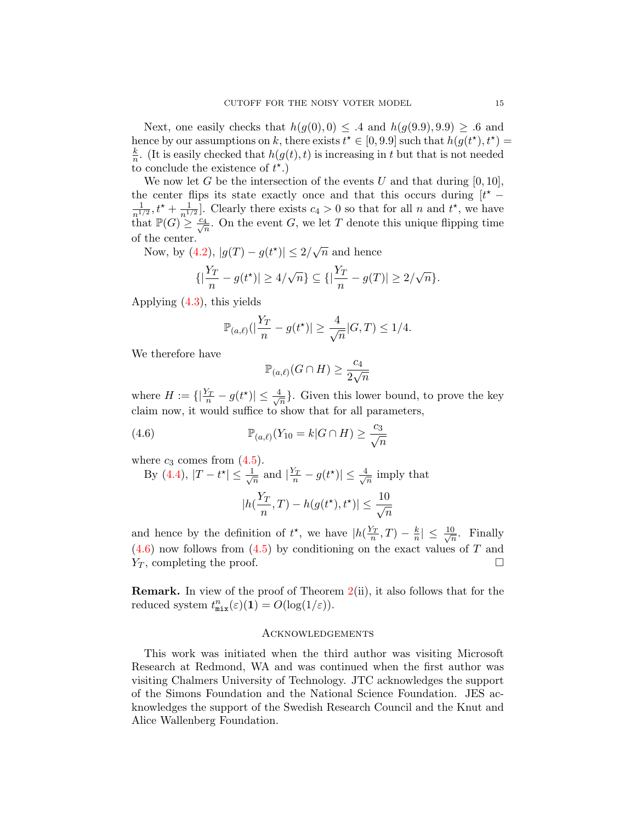Next, one easily checks that  $h(g(0),0) \leq .4$  and  $h(g(9.9), 9.9) \geq .6$  and hence by our assumptions on k, there exists  $t^* \in [0, 9.9]$  such that  $h(g(t^*), t^*) =$ k  $\frac{k}{n}$ . (It is easily checked that  $h(g(t), t)$  is increasing in t but that is not needed to conclude the existence of  $t^*$ .

We now let G be the intersection of the events U and that during  $[0, 10]$ , the center flips its state exactly once and that this occurs during  $[t^* -$ 1  $\frac{1}{n^{1/2}}, t^{\star} + \frac{1}{n^{1/2}}$  $\frac{1}{n^{1/2}}$ . Clearly there exists  $c_4 > 0$  so that for all n and  $t^*$ , we have that  $\mathbb{P}(G) \geq \frac{c_4}{\sqrt{n}}$ . On the event G, we let T denote this unique flipping time of the center.

Now, by  $(4.2)$ ,  $|g(T) - g(t^*)| \leq 2/\sqrt{n}$  and hence

$$
\{|\frac{Y_T}{n} - g(t^*)| \ge 4/\sqrt{n}\} \subseteq \{|\frac{Y_T}{n} - g(T)| \ge 2/\sqrt{n}\}.
$$

Applying [\(4.3\)](#page-13-1), this yields

$$
\mathbb{P}_{(a,\ell)}(|\frac{Y_T}{n} - g(t^*)| \ge \frac{4}{\sqrt{n}}|G,T) \le 1/4.
$$

We therefore have

<span id="page-14-0"></span>
$$
\mathbb{P}_{(a,\ell)}(G \cap H) \ge \frac{c_4}{2\sqrt{n}}
$$

where  $H := \{ |\frac{Y_T}{n} - g(t^*)| \leq \frac{4}{\sqrt{3}} \}$  $\frac{1}{\sqrt{n}}$ . Given this lower bound, to prove the key claim now, it would suffice to show that for all parameters,

(4.6) 
$$
\mathbb{P}_{(a,\ell)}(Y_{10}=k|G\cap H)\geq \frac{c_3}{\sqrt{n}}
$$

where  $c_3$  comes from  $(4.5)$ .

By (4.4), 
$$
|T - t^*| \le \frac{1}{\sqrt{n}}
$$
 and  $|\frac{Y_T}{n} - g(t^*)| \le \frac{4}{\sqrt{n}}$  imply that  

$$
|h(\frac{Y_T}{n}, T) - h(g(t^*), t^*)| \le \frac{10}{\sqrt{n}}
$$

and hence by the definition of  $t^*$ , we have  $|h(\frac{Y_T}{n},T) - \frac{k}{n}|$  $\frac{k}{n}$ |  $\leq \frac{10}{\sqrt{n}}$  $\frac{0}{n}$ . Finally  $(4.6)$  now follows from  $(4.5)$  by conditioning on the exact values of T and  $Y_T$ , completing the proof.

Remark. In view of the proof of Theorem [2\(](#page-3-1)ii), it also follows that for the reduced system  $t_{\texttt{mix}}^n(\varepsilon)(1) = O(\log(1/\varepsilon)).$ 

# **ACKNOWLEDGEMENTS**

This work was initiated when the third author was visiting Microsoft Research at Redmond, WA and was continued when the first author was visiting Chalmers University of Technology. JTC acknowledges the support of the Simons Foundation and the National Science Foundation. JES acknowledges the support of the Swedish Research Council and the Knut and Alice Wallenberg Foundation.